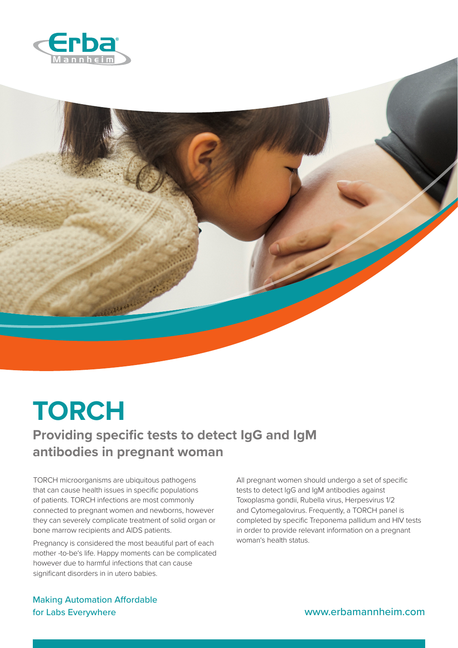

## **TORCH**

## **Providing specific tests to detect IgG and IgM antibodies in pregnant woman**

TORCH microorganisms are ubiquitous pathogens that can cause health issues in specific populations of patients. TORCH infections are most commonly connected to pregnant women and newborns, however they can severely complicate treatment of solid organ or bone marrow recipients and AIDS patients.

Pregnancy is considered the most beautiful part of each mother -to-be's life. Happy moments can be complicated however due to harmful infections that can cause significant disorders in in utero babies.

All pregnant women should undergo a set of specific tests to detect IgG and IgM antibodies against Toxoplasma gondii, Rubella virus, Herpesvirus 1/2 and Cytomegalovirus. Frequently, a TORCH panel is completed by specific Treponema pallidum and HIV tests in order to provide relevant information on a pregnant woman's health status.

Making Automation Affordable for Labs Everywhere www.erbamannheim.com